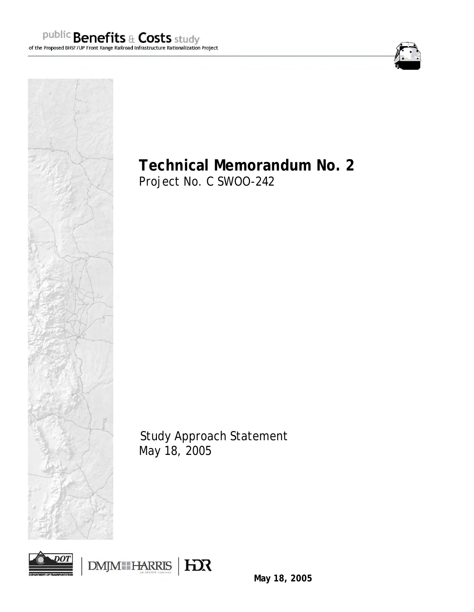

# **Technical Memorandum No. 2**

Project No. C SWOO-242

Study Approach Statement May 18, 2005





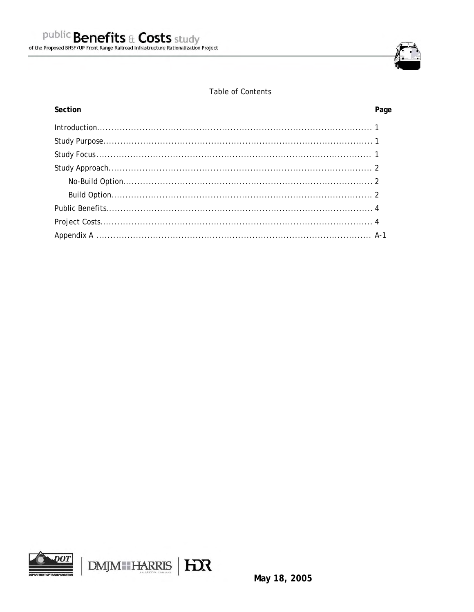

# **Table of Contents**

#### Section

| Section | Page |
|---------|------|
|         |      |
|         |      |
|         |      |
|         |      |
|         |      |
|         |      |
|         |      |
|         |      |
|         |      |

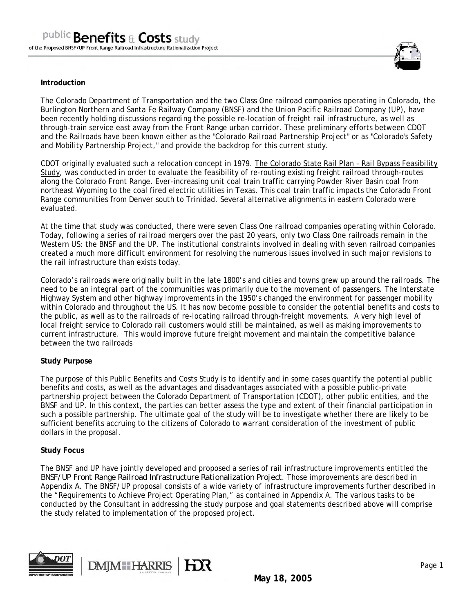

#### **Introduction**

The Colorado Department of Transportation and the two Class One railroad companies operating in Colorado, the Burlington Northern and Santa Fe Railway Company (BNSF) and the Union Pacific Railroad Company (UP), have been recently holding discussions regarding the possible re-location of freight rail infrastructure, as well as through-train service east away from the Front Range urban corridor. These preliminary efforts between CDOT and the Railroads have been known either as the "Colorado Railroad Partnership Project" or as "Colorado's Safety and Mobility Partnership Project," and provide the backdrop for this current study.

CDOT originally evaluated such a relocation concept in 1979. The Colorado State Rail Plan – Rail Bypass Feasibility Study, was conducted in order to evaluate the feasibility of re-routing existing freight railroad through-routes along the Colorado Front Range. Ever-increasing unit coal train traffic carrying Powder River Basin coal from northeast Wyoming to the coal fired electric utilities in Texas. This coal train traffic impacts the Colorado Front Range communities from Denver south to Trinidad. Several alternative alignments in eastern Colorado were evaluated.

At the time that study was conducted, there were seven Class One railroad companies operating within Colorado. Today, following a series of railroad mergers over the past 20 years, only two Class One railroads remain in the Western US: the BNSF and the UP. The institutional constraints involved in dealing with seven railroad companies created a much more difficult environment for resolving the numerous issues involved in such major revisions to the rail infrastructure than exists today.

Colorado's railroads were originally built in the late 1800's and cities and towns grew up around the railroads. The need to be an integral part of the communities was primarily due to the movement of passengers. The Interstate Highway System and other highway improvements in the 1950's changed the environment for passenger mobility within Colorado and throughout the US. It has now become possible to consider the potential benefits and costs to the public, as well as to the railroads of re-locating railroad through-freight movements. A very high level of local freight service to Colorado rail customers would still be maintained, as well as making improvements to current infrastructure. This would improve future freight movement and maintain the competitive balance between the two railroads

#### **Study Purpose**

The purpose of this Public Benefits and Costs Study is to identify and in some cases quantify the potential public benefits and costs, as well as the advantages and disadvantages associated with a possible public-private partnership project between the Colorado Department of Transportation (CDOT), other public entities, and the BNSF and UP. In this context, the parties can better assess the type and extent of their financial participation in such a possible partnership. The ultimate goal of the study will be to investigate whether there are likely to be sufficient benefits accruing to the citizens of Colorado to warrant consideration of the investment of public dollars in the proposal.

#### **Study Focus**

The BNSF and UP have jointly developed and proposed a series of rail infrastructure improvements entitled the *BNSF/UP Front Range Railroad Infrastructure Rationalization Project*. Those improvements are described in Appendix A. The BNSF/UP proposal consists of a wide variety of infrastructure improvements further described in the "Requirements to Achieve Project Operating Plan," as contained in Appendix A. The various tasks to be conducted by the Consultant in addressing the study purpose and goal statements described above will comprise the study related to implementation of the proposed project.



DMM HARRIS HOR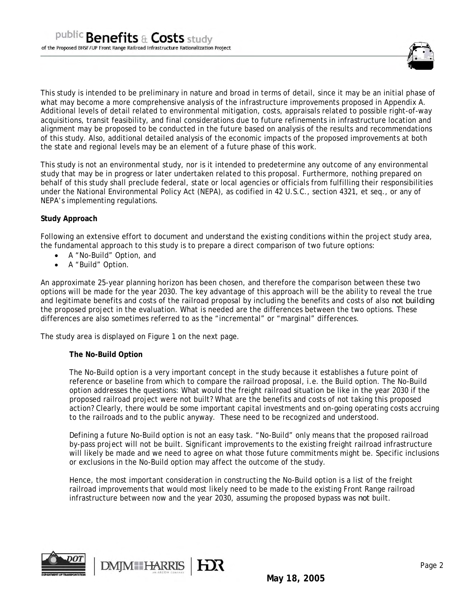

This study is intended to be preliminary in nature and broad in terms of detail, since it may be an initial phase of what may become a more comprehensive analysis of the infrastructure improvements proposed in Appendix A. Additional levels of detail related to environmental mitigation, costs, appraisals related to possible right-of-way acquisitions, transit feasibility, and final considerations due to future refinements in infrastructure location and alignment may be proposed to be conducted in the future based on analysis of the results and recommendations of this study. Also, additional detailed analysis of the economic impacts of the proposed improvements at both the state and regional levels may be an element of a future phase of this work.

This study is not an environmental study, nor is it intended to predetermine any outcome of any environmental study that may be in progress or later undertaken related to this proposal. Furthermore, nothing prepared on behalf of this study shall preclude federal, state or local agencies or officials from fulfilling their responsibilities under the National Environmental Policy Act (NEPA), as codified in 42 U.S.C., section 4321, et seq., or any of NEPA's implementing regulations.

#### **Study Approach**

Following an extensive effort to document and understand the existing conditions within the project study area, the fundamental approach to this study is to prepare a direct comparison of two future options:

- A "No-Build" Option, and
- A "Build" Option.

An approximate 25-year planning horizon has been chosen, and therefore the comparison between these two options will be made for the year 2030. The key advantage of this approach will be the ability to reveal the true and legitimate benefits and costs of the railroad proposal by including the benefits and costs of also *not building* the proposed project in the evaluation. What is needed are the differences between the two options. These differences are also sometimes referred to as the "incremental" or "marginal" differences.

The study area is displayed on Figure 1 on the next page.

**DMJM** HARRIS

#### **The No-Build Option**

The No-Build option is a very important concept in the study because it establishes a future point of reference or baseline from which to compare the railroad proposal, i.e. the Build option. The No-Build option addresses the questions: What would the freight railroad situation be like in the year 2030 if the proposed railroad project were not built? What are the benefits and costs of not taking this proposed action? Clearly, there would be some important capital investments and on-going operating costs accruing to the railroads and to the public anyway. These need to be recognized and understood.

Defining a future No-Build option is not an easy task. "No-Build" only means that the proposed railroad by-pass project will not be built. Significant improvements to the existing freight railroad infrastructure will likely be made and we need to agree on what those future commitments might be. Specific inclusions or exclusions in the No-Build option may affect the outcome of the study.

Hence, the most important consideration in constructing the No-Build option is a list of the freight railroad improvements that would most likely need to be made to the existing Front Range railroad infrastructure between now and the year 2030, assuming the proposed bypass was *not* built.

HX



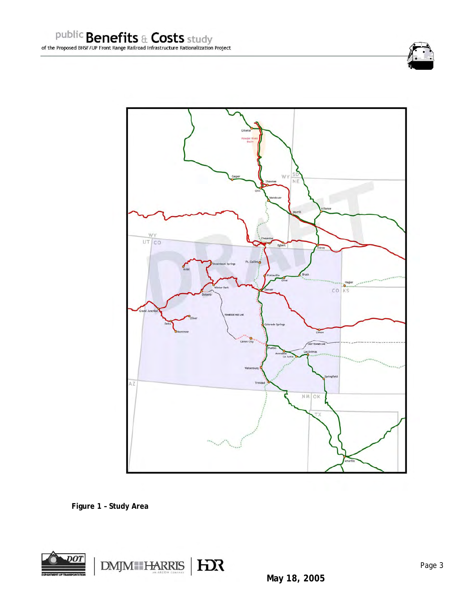



 **Figure 1 – Study Area** 

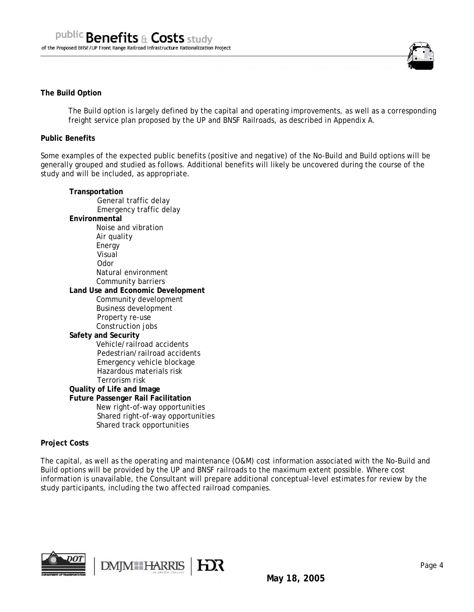

#### **The Build Option**

The Build option is largely defined by the capital and operating improvements, as well as a corresponding freight service plan proposed by the UP and BNSF Railroads, as described in Appendix A.

#### **Public Benefits**

Some examples of the expected public benefits (positive and negative) of the No-Build and Build options will be generally grouped and studied as follows. Additional benefits will likely be uncovered during the course of the study and will be included, as appropriate.

#### **Transportation**  General traffic delay Emergency traffic delay **Environmental**  Noise and vibration Air quality Energy Visual Odor Natural environment Community barriers **Land Use and Economic Development**  Community development Business development Property re-use Construction jobs **Safety and Security**  Vehicle/railroad accidents Pedestrian/railroad accidents Emergency vehicle blockage Hazardous materials risk Terrorism risk **Quality of Life and Image Future Passenger Rail Facilitation**  New right-of-way opportunities Shared right-of-way opportunities Shared track opportunities

**DMJM** HARRIS

#### **Project Costs**

The capital, as well as the operating and maintenance (O&M) cost information associated with the No-Build and Build options will be provided by the UP and BNSF railroads to the maximum extent possible. Where cost information is unavailable, the Consultant will prepare additional conceptual-level estimates for review by the study participants, including the two affected railroad companies.

**HEX** 

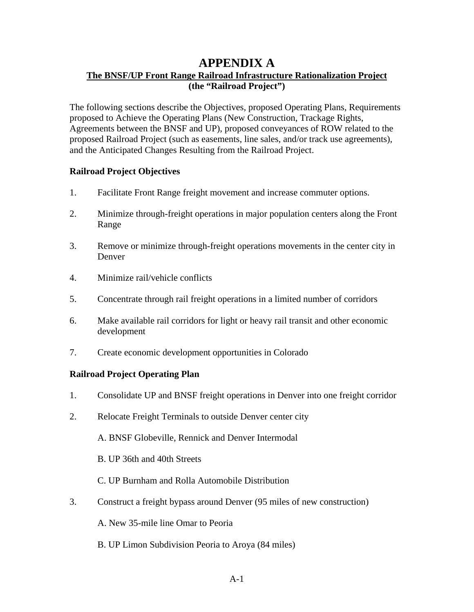# **APPENDIX A**

# **The BNSF/UP Front Range Railroad Infrastructure Rationalization Project (the "Railroad Project")**

The following sections describe the Objectives, proposed Operating Plans, Requirements proposed to Achieve the Operating Plans (New Construction, Trackage Rights, Agreements between the BNSF and UP), proposed conveyances of ROW related to the proposed Railroad Project (such as easements, line sales, and/or track use agreements), and the Anticipated Changes Resulting from the Railroad Project.

# **Railroad Project Objectives**

- 1. Facilitate Front Range freight movement and increase commuter options.
- 2. Minimize through-freight operations in major population centers along the Front Range
- 3. Remove or minimize through-freight operations movements in the center city in Denver
- 4. Minimize rail/vehicle conflicts
- 5. Concentrate through rail freight operations in a limited number of corridors
- 6. Make available rail corridors for light or heavy rail transit and other economic development
- 7. Create economic development opportunities in Colorado

# **Railroad Project Operating Plan**

- 1. Consolidate UP and BNSF freight operations in Denver into one freight corridor
- 2. Relocate Freight Terminals to outside Denver center city

A. BNSF Globeville, Rennick and Denver Intermodal

- B. UP 36th and 40th Streets
- C. UP Burnham and Rolla Automobile Distribution
- 3. Construct a freight bypass around Denver (95 miles of new construction)
	- A. New 35-mile line Omar to Peoria
	- B. UP Limon Subdivision Peoria to Aroya (84 miles)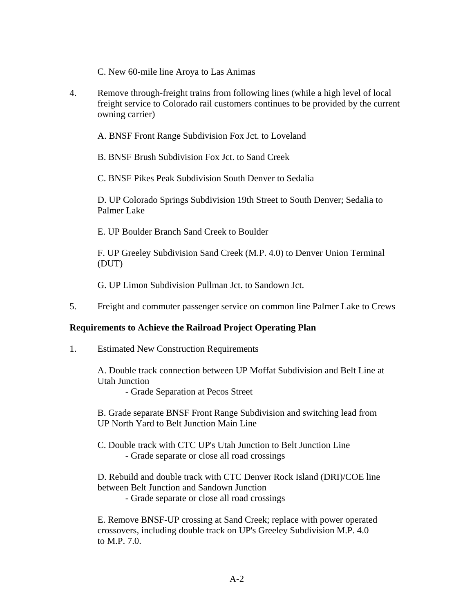C. New 60-mile line Aroya to Las Animas

4. Remove through-freight trains from following lines (while a high level of local freight service to Colorado rail customers continues to be provided by the current owning carrier)

A. BNSF Front Range Subdivision Fox Jct. to Loveland

B. BNSF Brush Subdivision Fox Jct. to Sand Creek

C. BNSF Pikes Peak Subdivision South Denver to Sedalia

D. UP Colorado Springs Subdivision 19th Street to South Denver; Sedalia to Palmer Lake

E. UP Boulder Branch Sand Creek to Boulder

F. UP Greeley Subdivision Sand Creek (M.P. 4.0) to Denver Union Terminal (DUT)

G. UP Limon Subdivision Pullman Jct. to Sandown Jct.

5. Freight and commuter passenger service on common line Palmer Lake to Crews

# **Requirements to Achieve the Railroad Project Operating Plan**

1. Estimated New Construction Requirements

A. Double track connection between UP Moffat Subdivision and Belt Line at Utah Junction

- Grade Separation at Pecos Street

B. Grade separate BNSF Front Range Subdivision and switching lead from UP North Yard to Belt Junction Main Line

C. Double track with CTC UP's Utah Junction to Belt Junction Line - Grade separate or close all road crossings

D. Rebuild and double track with CTC Denver Rock Island (DRI)/COE line between Belt Junction and Sandown Junction

- Grade separate or close all road crossings

E. Remove BNSF-UP crossing at Sand Creek; replace with power operated crossovers, including double track on UP's Greeley Subdivision M.P. 4.0 to M.P. 7.0.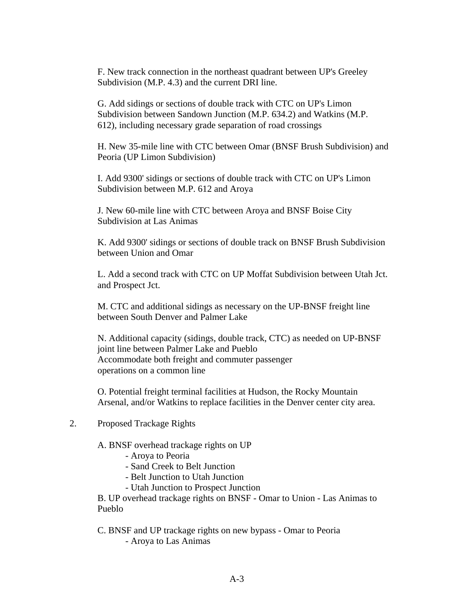F. New track connection in the northeast quadrant between UP's Greeley Subdivision (M.P. 4.3) and the current DRI line.

G. Add sidings or sections of double track with CTC on UP's Limon Subdivision between Sandown Junction (M.P. 634.2) and Watkins (M.P. 612), including necessary grade separation of road crossings

H. New 35-mile line with CTC between Omar (BNSF Brush Subdivision) and Peoria (UP Limon Subdivision)

I. Add 9300' sidings or sections of double track with CTC on UP's Limon Subdivision between M.P. 612 and Aroya

J. New 60-mile line with CTC between Aroya and BNSF Boise City Subdivision at Las Animas

K. Add 9300' sidings or sections of double track on BNSF Brush Subdivision between Union and Omar

L. Add a second track with CTC on UP Moffat Subdivision between Utah Jct. and Prospect Jct.

M. CTC and additional sidings as necessary on the UP-BNSF freight line between South Denver and Palmer Lake

N. Additional capacity (sidings, double track, CTC) as needed on UP-BNSF joint line between Palmer Lake and Pueblo Accommodate both freight and commuter passenger operations on a common line

O. Potential freight terminal facilities at Hudson, the Rocky Mountain Arsenal, and/or Watkins to replace facilities in the Denver center city area.

2. Proposed Trackage Rights

A. BNSF overhead trackage rights on UP

- Aroya to Peoria
- Sand Creek to Belt Junction
- Belt Junction to Utah Junction
- Utah Junction to Prospect Junction

B. UP overhead trackage rights on BNSF - Omar to Union - Las Animas to Pueblo

- C. BNSF and UP trackage rights on new bypass Omar to Peoria
	- Aroya to Las Animas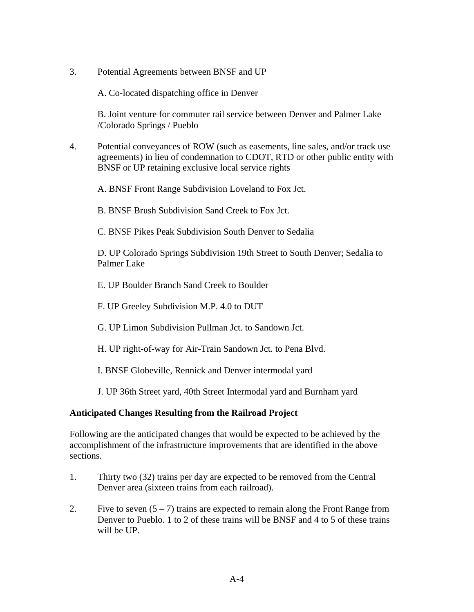3. Potential Agreements between BNSF and UP

A. Co-located dispatching office in Denver

B. Joint venture for commuter rail service between Denver and Palmer Lake /Colorado Springs / Pueblo

4. Potential conveyances of ROW (such as easements, line sales, and/or track use agreements) in lieu of condemnation to CDOT, RTD or other public entity with BNSF or UP retaining exclusive local service rights

A. BNSF Front Range Subdivision Loveland to Fox Jct.

B. BNSF Brush Subdivision Sand Creek to Fox Jct.

C. BNSF Pikes Peak Subdivision South Denver to Sedalia

D. UP Colorado Springs Subdivision 19th Street to South Denver; Sedalia to Palmer Lake

E. UP Boulder Branch Sand Creek to Boulder

F. UP Greeley Subdivision M.P. 4.0 to DUT

G. UP Limon Subdivision Pullman Jct. to Sandown Jct.

H. UP right-of-way for Air-Train Sandown Jct. to Pena Blvd.

I. BNSF Globeville, Rennick and Denver intermodal yard

J. UP 36th Street yard, 40th Street Intermodal yard and Burnham yard

# **Anticipated Changes Resulting from the Railroad Project**

Following are the anticipated changes that would be expected to be achieved by the accomplishment of the infrastructure improvements that are identified in the above sections.

- 1. Thirty two (32) trains per day are expected to be removed from the Central Denver area (sixteen trains from each railroad).
- 2. Five to seven  $(5 7)$  trains are expected to remain along the Front Range from Denver to Pueblo. 1 to 2 of these trains will be BNSF and 4 to 5 of these trains will be UP.